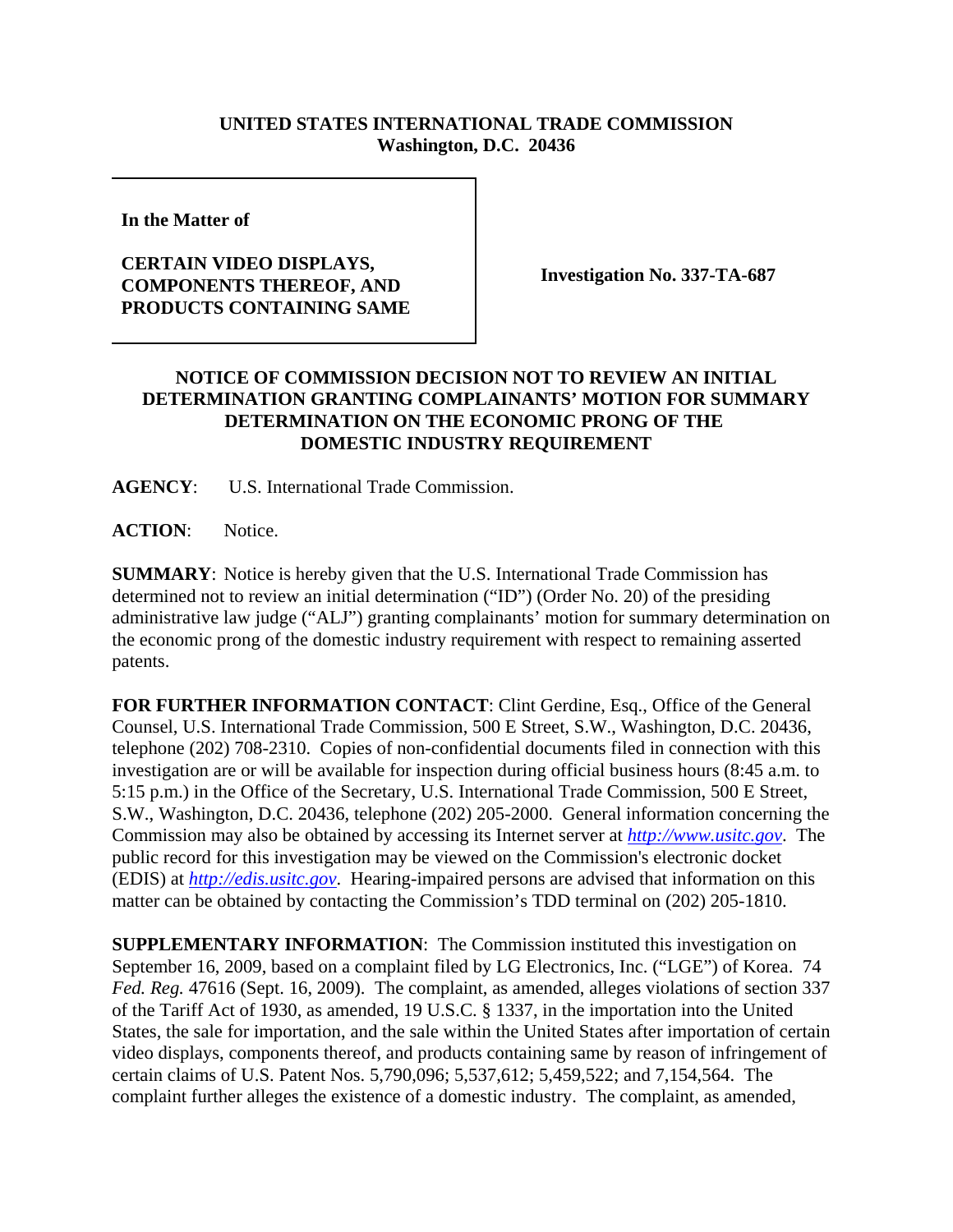## **UNITED STATES INTERNATIONAL TRADE COMMISSION Washington, D.C. 20436**

**In the Matter of** 

## **CERTAIN VIDEO DISPLAYS, COMPONENTS THEREOF, AND PRODUCTS CONTAINING SAME**

**Investigation No. 337-TA-687**

## **NOTICE OF COMMISSION DECISION NOT TO REVIEW AN INITIAL DETERMINATION GRANTING COMPLAINANTS' MOTION FOR SUMMARY DETERMINATION ON THE ECONOMIC PRONG OF THE DOMESTIC INDUSTRY REQUIREMENT**

**AGENCY**: U.S. International Trade Commission.

**ACTION**: Notice.

**SUMMARY**: Notice is hereby given that the U.S. International Trade Commission has determined not to review an initial determination ("ID") (Order No. 20) of the presiding administrative law judge ("ALJ") granting complainants' motion for summary determination on the economic prong of the domestic industry requirement with respect to remaining asserted patents.

**FOR FURTHER INFORMATION CONTACT**: Clint Gerdine, Esq., Office of the General Counsel, U.S. International Trade Commission, 500 E Street, S.W., Washington, D.C. 20436, telephone (202) 708-2310. Copies of non-confidential documents filed in connection with this investigation are or will be available for inspection during official business hours (8:45 a.m. to 5:15 p.m.) in the Office of the Secretary, U.S. International Trade Commission, 500 E Street, S.W., Washington, D.C. 20436, telephone (202) 205-2000. General information concerning the Commission may also be obtained by accessing its Internet server at *http://www.usitc.gov*. The public record for this investigation may be viewed on the Commission's electronic docket (EDIS) at *http://edis.usitc.gov*. Hearing-impaired persons are advised that information on this matter can be obtained by contacting the Commission's TDD terminal on (202) 205-1810.

**SUPPLEMENTARY INFORMATION:** The Commission instituted this investigation on September 16, 2009, based on a complaint filed by LG Electronics, Inc. ("LGE") of Korea. 74 *Fed. Reg.* 47616 (Sept. 16, 2009). The complaint, as amended, alleges violations of section 337 of the Tariff Act of 1930, as amended, 19 U.S.C. § 1337, in the importation into the United States, the sale for importation, and the sale within the United States after importation of certain video displays, components thereof, and products containing same by reason of infringement of certain claims of U.S. Patent Nos. 5,790,096; 5,537,612; 5,459,522; and 7,154,564. The complaint further alleges the existence of a domestic industry. The complaint, as amended,